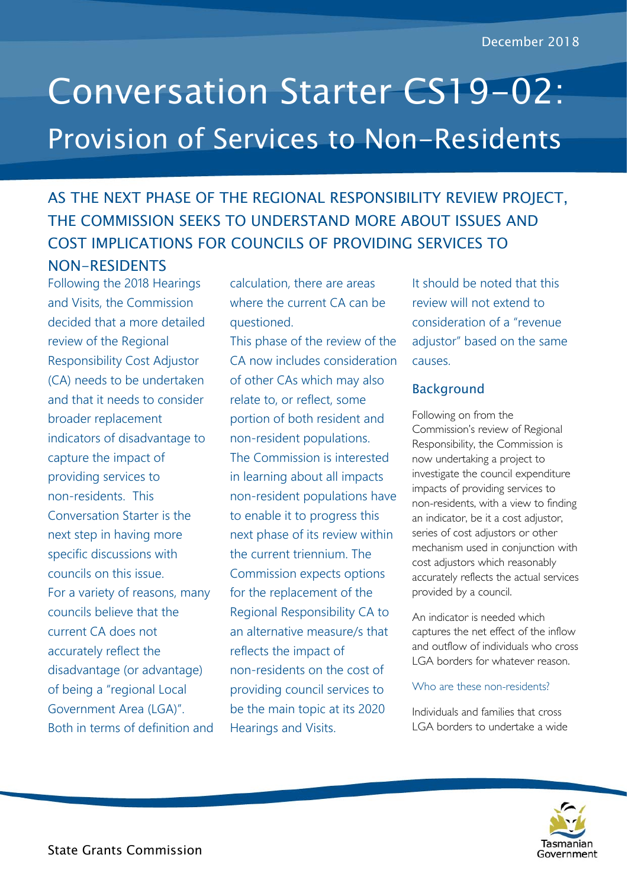# Conversation Starter CS19-02: Provision of Services to Non-Residents

## AS THE NEXT PHASE OF THE REGIONAL RESPONSIBILITY REVIEW PROJECT, THE COMMISSION SEEKS TO UNDERSTAND MORE ABOUT ISSUES AND COST IMPLICATIONS FOR COUNCILS OF PROVIDING SERVICES TO NON-RESIDENTS

Following the 2018 Hearings and Visits, the Commission decided that a more detailed review of the Regional Responsibility Cost Adjustor (CA) needs to be undertaken and that it needs to consider broader replacement indicators of disadvantage to capture the impact of providing services to non-residents. This Conversation Starter is the next step in having more specific discussions with councils on this issue. For a variety of reasons, many councils believe that the current CA does not accurately reflect the disadvantage (or advantage) of being a "regional Local Government Area (LGA)". Both in terms of definition and

calculation, there are areas where the current CA can be questioned.

This phase of the review of the CA now includes consideration of other CAs which may also relate to, or reflect, some portion of both resident and non-resident populations. The Commission is interested in learning about all impacts non-resident populations have to enable it to progress this next phase of its review within the current triennium. The Commission expects options for the replacement of the Regional Responsibility CA to an alternative measure/s that reflects the impact of non-residents on the cost of providing council services to be the main topic at its 2020 Hearings and Visits.

It should be noted that this review will not extend to consideration of a "revenue adjustor" based on the same causes.

### Background

Following on from the Commission's review of Regional Responsibility, the Commission is now undertaking a project to investigate the council expenditure impacts of providing services to non-residents, with a view to finding an indicator, be it a cost adjustor, series of cost adjustors or other mechanism used in conjunction with cost adjustors which reasonably accurately reflects the actual services provided by a council.

An indicator is needed which captures the net effect of the inflow and outflow of individuals who cross LGA borders for whatever reason.

#### Who are these non-residents?

Individuals and families that cross LGA borders to undertake a wide